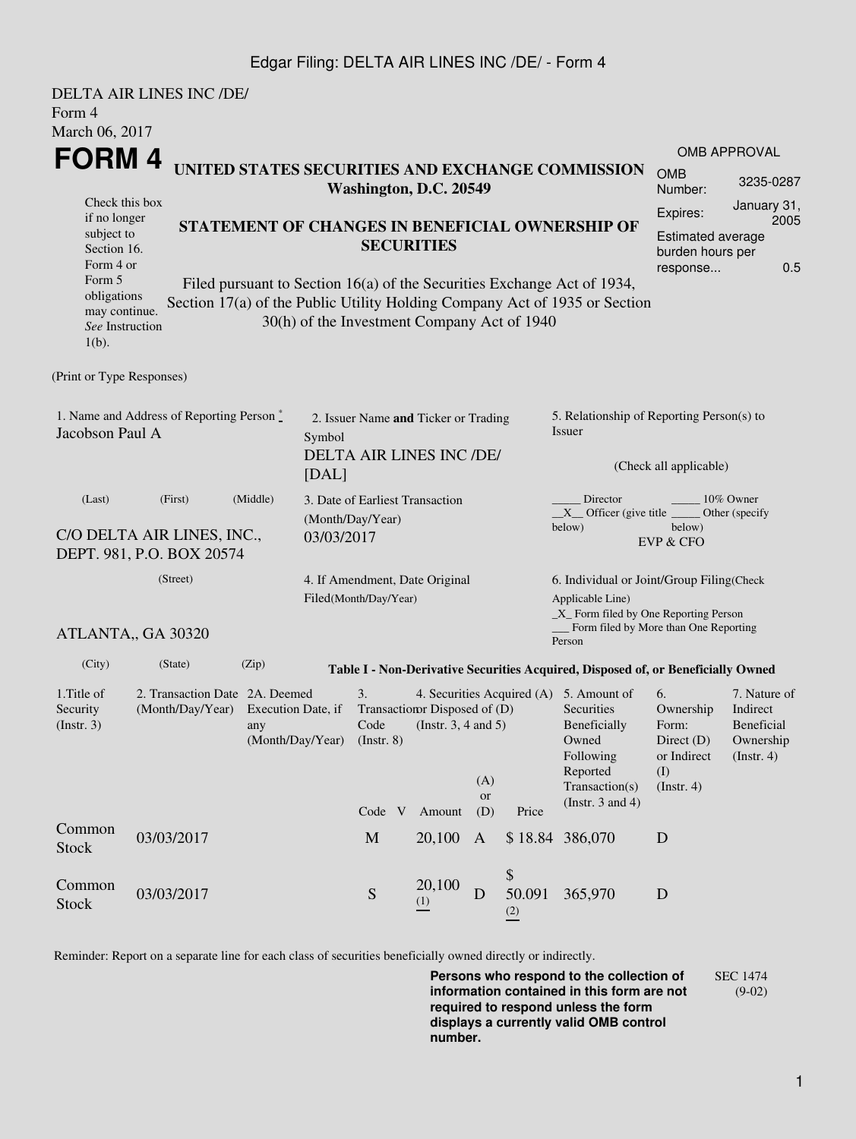## Edgar Filing: DELTA AIR LINES INC /DE/ - Form 4

| Form 4<br>March 06, 2017                                                                                                                          | DELTA AIR LINES INC /DE/                                                                                                                                                                                                                                                                               |                                                           |                                 |                       |                                                                          |                                                                                                                           |                     |                                                                                                                                                            |                                                                               |                                                                                                    |  |
|---------------------------------------------------------------------------------------------------------------------------------------------------|--------------------------------------------------------------------------------------------------------------------------------------------------------------------------------------------------------------------------------------------------------------------------------------------------------|-----------------------------------------------------------|---------------------------------|-----------------------|--------------------------------------------------------------------------|---------------------------------------------------------------------------------------------------------------------------|---------------------|------------------------------------------------------------------------------------------------------------------------------------------------------------|-------------------------------------------------------------------------------|----------------------------------------------------------------------------------------------------|--|
| FORM 4                                                                                                                                            | UNITED STATES SECURITIES AND EXCHANGE COMMISSION                                                                                                                                                                                                                                                       | <b>OMB APPROVAL</b><br><b>OMB</b><br>3235-0287<br>Number: |                                 |                       |                                                                          |                                                                                                                           |                     |                                                                                                                                                            |                                                                               |                                                                                                    |  |
| Check this box<br>if no longer<br>subject to<br>Section 16.<br>Form 4 or<br>Form 5<br>obligations<br>may continue.<br>See Instruction<br>$1(b)$ . | Washington, D.C. 20549<br>STATEMENT OF CHANGES IN BENEFICIAL OWNERSHIP OF<br><b>SECURITIES</b><br>Filed pursuant to Section 16(a) of the Securities Exchange Act of 1934,<br>Section 17(a) of the Public Utility Holding Company Act of 1935 or Section<br>30(h) of the Investment Company Act of 1940 |                                                           |                                 |                       |                                                                          |                                                                                                                           |                     |                                                                                                                                                            |                                                                               | January 31,<br>Expires:<br>2005<br><b>Estimated average</b><br>burden hours per<br>0.5<br>response |  |
| (Print or Type Responses)                                                                                                                         |                                                                                                                                                                                                                                                                                                        |                                                           |                                 |                       |                                                                          |                                                                                                                           |                     |                                                                                                                                                            |                                                                               |                                                                                                    |  |
| 1. Name and Address of Reporting Person *<br>Jacobson Paul A<br>Symbol<br>[DAL]                                                                   |                                                                                                                                                                                                                                                                                                        |                                                           |                                 |                       | 2. Issuer Name and Ticker or Trading<br>DELTA AIR LINES INC /DE/         |                                                                                                                           |                     | 5. Relationship of Reporting Person(s) to<br>Issuer<br>(Check all applicable)                                                                              |                                                                               |                                                                                                    |  |
| (Last)<br>C/O DELTA AIR LINES, INC.,<br>DEPT. 981, P.O. BOX 20574                                                                                 | (Month/Day/Year)<br>03/03/2017                                                                                                                                                                                                                                                                         |                                                           | 3. Date of Earliest Transaction |                       |                                                                          | 10% Owner<br>Director<br>$X$ Officer (give title $\_\_\_\_\_\_\_\_\_\$<br>Other (specify<br>below)<br>below)<br>EVP & CFO |                     |                                                                                                                                                            |                                                                               |                                                                                                    |  |
| (Street)<br>ATLANTA,, GA 30320                                                                                                                    |                                                                                                                                                                                                                                                                                                        |                                                           |                                 | Filed(Month/Day/Year) | 4. If Amendment, Date Original                                           |                                                                                                                           |                     | 6. Individual or Joint/Group Filing(Check<br>Applicable Line)<br>_X_ Form filed by One Reporting Person<br>Form filed by More than One Reporting<br>Person |                                                                               |                                                                                                    |  |
| (City)                                                                                                                                            | (State)                                                                                                                                                                                                                                                                                                | (Zip)                                                     |                                 |                       |                                                                          |                                                                                                                           |                     | Table I - Non-Derivative Securities Acquired, Disposed of, or Beneficially Owned                                                                           |                                                                               |                                                                                                    |  |
| 1. Title of<br>Security<br>(Insert. 3)                                                                                                            | 2. Transaction Date 2A. Deemed<br>(Month/Day/Year) Execution Date, if                                                                                                                                                                                                                                  | any                                                       | (Month/Day/Year) (Instr. 8)     | 3.                    | Transaction Disposed of (D)<br>Code (Instr. 3, 4 and 5)<br>Code V Amount | (A)<br>or<br>(D)                                                                                                          | Price               | 4. Securities Acquired (A) 5. Amount of<br>Securities<br>Beneficially<br>Owned<br>Following<br>Reported<br>Transaction(s)<br>(Instr. $3$ and $4$ )         | 6.<br>Ownership<br>Form:<br>Direct $(D)$<br>or Indirect<br>(I)<br>(Insert. 4) | 7. Nature of<br>Indirect<br>Beneficial<br>Ownership<br>(Insert. 4)                                 |  |
| Common<br><b>Stock</b>                                                                                                                            | 03/03/2017                                                                                                                                                                                                                                                                                             |                                                           |                                 | $\mathbf M$           | 20,100                                                                   | A                                                                                                                         |                     | \$18.84 386,070                                                                                                                                            | D                                                                             |                                                                                                    |  |
| Common<br><b>Stock</b>                                                                                                                            | 03/03/2017                                                                                                                                                                                                                                                                                             |                                                           |                                 | ${\mathbf S}$         | 20,100<br>(1)                                                            | D                                                                                                                         | \$<br>50.091<br>(2) | 365,970                                                                                                                                                    | $\mathbf D$                                                                   |                                                                                                    |  |

Reminder: Report on a separate line for each class of securities beneficially owned directly or indirectly.

**Persons who respond to the collection of information contained in this form are not required to respond unless the form displays a currently valid OMB control number.** SEC 1474 (9-02)